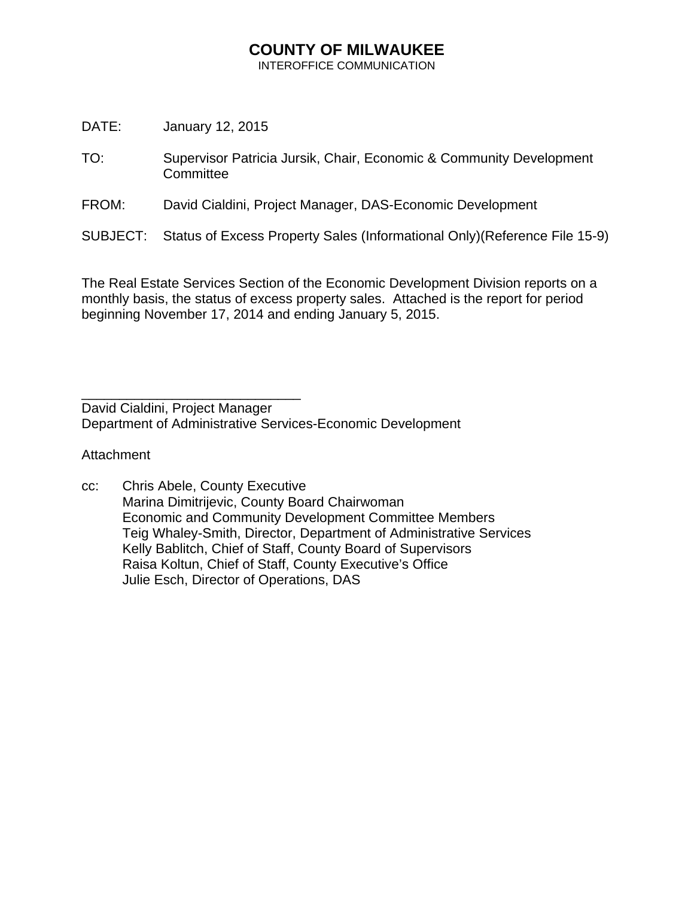# **COUNTY OF MILWAUKEE**

INTEROFFICE COMMUNICATION

DATE: January 12, 2015

\_\_\_\_\_\_\_\_\_\_\_\_\_\_\_\_\_\_\_\_\_\_\_\_\_\_\_\_\_

- TO: Supervisor Patricia Jursik, Chair, Economic & Community Development **Committee**
- FROM: David Cialdini, Project Manager, DAS-Economic Development
- SUBJECT: Status of Excess Property Sales (Informational Only)(Reference File 15-9)

The Real Estate Services Section of the Economic Development Division reports on a monthly basis, the status of excess property sales. Attached is the report for period beginning November 17, 2014 and ending January 5, 2015.

David Cialdini, Project Manager Department of Administrative Services-Economic Development

**Attachment** 

cc: Chris Abele, County Executive Marina Dimitrijevic, County Board Chairwoman Economic and Community Development Committee Members Teig Whaley-Smith, Director, Department of Administrative Services Kelly Bablitch, Chief of Staff, County Board of Supervisors Raisa Koltun, Chief of Staff, County Executive's Office Julie Esch, Director of Operations, DAS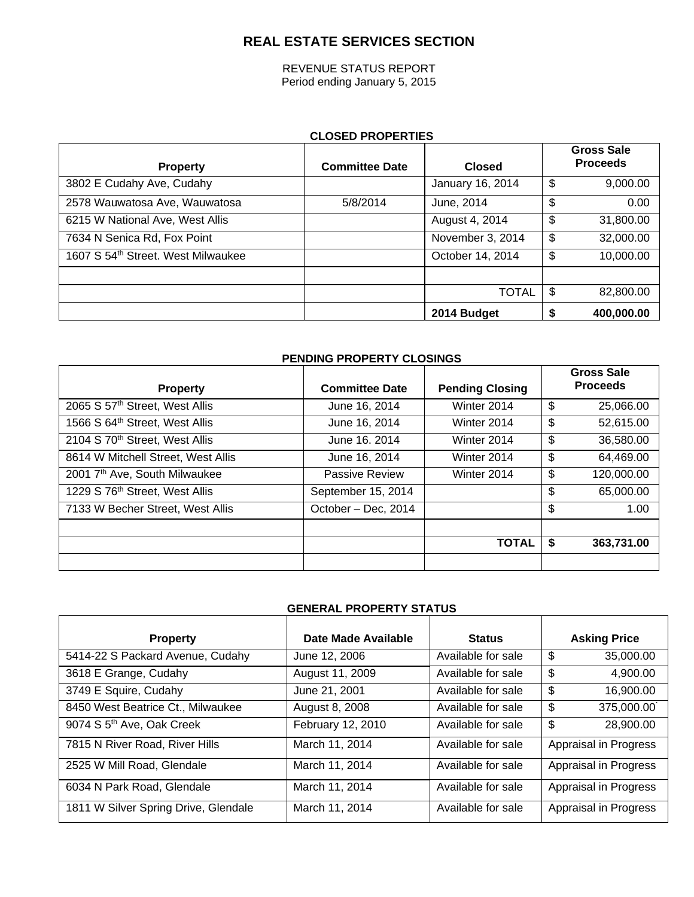## **REAL ESTATE SERVICES SECTION**

REVENUE STATUS REPORT Period ending January 5, 2015

#### **CLOSED PROPERTIES**

| <b>Property</b>                                | <b>Committee Date</b> | <b>Closed</b>    | <b>Gross Sale</b><br><b>Proceeds</b> |
|------------------------------------------------|-----------------------|------------------|--------------------------------------|
| 3802 E Cudahy Ave, Cudahy                      |                       | January 16, 2014 | \$<br>9,000.00                       |
| 2578 Wauwatosa Ave, Wauwatosa                  | 5/8/2014              | June, 2014       | \$<br>0.00                           |
| 6215 W National Ave, West Allis                |                       | August 4, 2014   | \$<br>31,800.00                      |
| 7634 N Senica Rd, Fox Point                    |                       | November 3, 2014 | \$<br>32,000.00                      |
| 1607 S 54 <sup>th</sup> Street. West Milwaukee |                       | October 14, 2014 | \$<br>10,000.00                      |
|                                                |                       |                  |                                      |
|                                                |                       | <b>TOTAL</b>     | \$<br>82,800.00                      |
|                                                |                       | 2014 Budget      | 400,000.00                           |

#### **PENDING PROPERTY CLOSINGS**

| <b>Property</b>                            | <b>Committee Date</b> | <b>Pending Closing</b> |    | <b>Gross Sale</b><br><b>Proceeds</b> |
|--------------------------------------------|-----------------------|------------------------|----|--------------------------------------|
| 2065 S 57th Street, West Allis             | June 16, 2014         | Winter 2014            | \$ | 25,066.00                            |
| 1566 S 64 <sup>th</sup> Street, West Allis | June 16, 2014         | Winter 2014            | \$ | 52,615.00                            |
| 2104 S 70 <sup>th</sup> Street, West Allis | June 16, 2014         | Winter 2014            | \$ | 36,580.00                            |
| 8614 W Mitchell Street, West Allis         | June 16, 2014         | Winter 2014            | \$ | 64,469.00                            |
| 2001 7th Ave, South Milwaukee              | <b>Passive Review</b> | Winter 2014            | \$ | 120,000.00                           |
| 1229 S 76 <sup>th</sup> Street, West Allis | September 15, 2014    |                        | \$ | 65,000.00                            |
| 7133 W Becher Street, West Allis           | October – Dec, 2014   |                        | \$ | 1.00                                 |
|                                            |                       |                        |    |                                      |
|                                            |                       | <b>TOTAL</b>           | S  | 363,731.00                           |
|                                            |                       |                        |    |                                      |

#### **GENERAL PROPERTY STATUS**

| <b>Property</b>                       | Date Made Available | <b>Status</b>      | <b>Asking Price</b>   |
|---------------------------------------|---------------------|--------------------|-----------------------|
| 5414-22 S Packard Avenue, Cudahy      | June 12, 2006       | Available for sale | \$<br>35,000.00       |
| 3618 E Grange, Cudahy                 | August 11, 2009     | Available for sale | \$<br>4,900.00        |
| 3749 E Squire, Cudahy                 | June 21, 2001       | Available for sale | \$<br>16,900.00       |
| 8450 West Beatrice Ct., Milwaukee     | August 8, 2008      | Available for sale | \$<br>375,000.00      |
| 9074 S 5 <sup>th</sup> Ave, Oak Creek | February 12, 2010   | Available for sale | \$<br>28,900.00       |
| 7815 N River Road, River Hills        | March 11, 2014      | Available for sale | Appraisal in Progress |
| 2525 W Mill Road, Glendale            | March 11, 2014      | Available for sale | Appraisal in Progress |
| 6034 N Park Road, Glendale            | March 11, 2014      | Available for sale | Appraisal in Progress |
| 1811 W Silver Spring Drive, Glendale  | March 11, 2014      | Available for sale | Appraisal in Progress |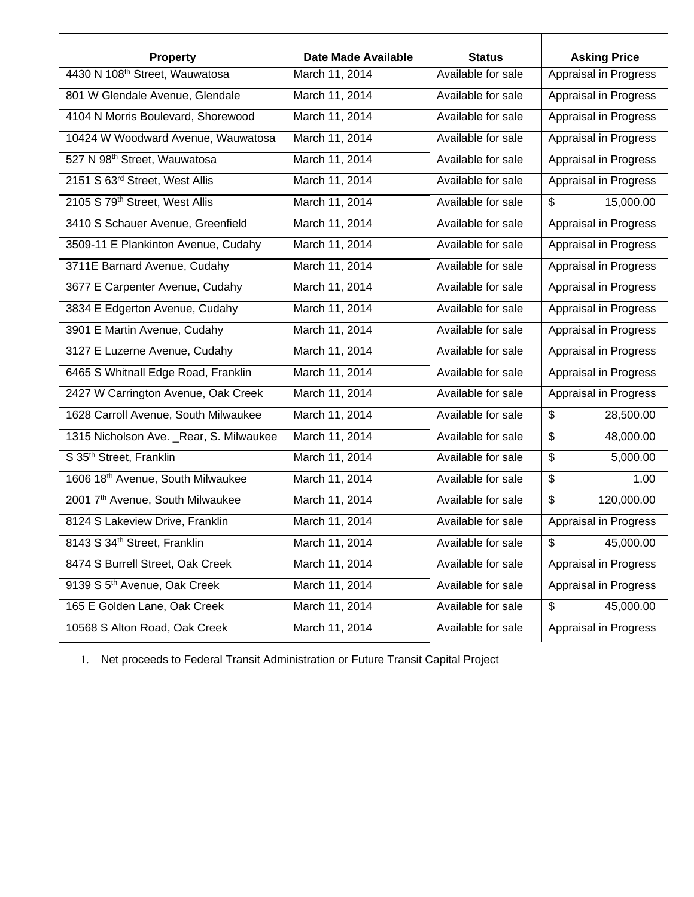| <b>Property</b>                            | <b>Date Made Available</b> | <b>Status</b>      | <b>Asking Price</b>        |
|--------------------------------------------|----------------------------|--------------------|----------------------------|
| 4430 N 108 <sup>th</sup> Street, Wauwatosa | March 11, 2014             | Available for sale | Appraisal in Progress      |
| 801 W Glendale Avenue, Glendale            | March 11, 2014             | Available for sale | Appraisal in Progress      |
| 4104 N Morris Boulevard, Shorewood         | March 11, 2014             | Available for sale | Appraisal in Progress      |
| 10424 W Woodward Avenue, Wauwatosa         | March 11, 2014             | Available for sale | Appraisal in Progress      |
| 527 N 98 <sup>th</sup> Street, Wauwatosa   | March 11, 2014             | Available for sale | Appraisal in Progress      |
| 2151 S 63rd Street, West Allis             | March 11, 2014             | Available for sale | Appraisal in Progress      |
| 2105 S 79th Street, West Allis             | March 11, 2014             | Available for sale | \$<br>15,000.00            |
| 3410 S Schauer Avenue, Greenfield          | March 11, 2014             | Available for sale | Appraisal in Progress      |
| 3509-11 E Plankinton Avenue, Cudahy        | March 11, 2014             | Available for sale | Appraisal in Progress      |
| 3711E Barnard Avenue, Cudahy               | March 11, 2014             | Available for sale | Appraisal in Progress      |
| 3677 E Carpenter Avenue, Cudahy            | March 11, 2014             | Available for sale | Appraisal in Progress      |
| 3834 E Edgerton Avenue, Cudahy             | March 11, 2014             | Available for sale | Appraisal in Progress      |
| 3901 E Martin Avenue, Cudahy               | March 11, 2014             | Available for sale | Appraisal in Progress      |
| 3127 E Luzerne Avenue, Cudahy              | March 11, 2014             | Available for sale | Appraisal in Progress      |
| 6465 S Whitnall Edge Road, Franklin        | March 11, 2014             | Available for sale | Appraisal in Progress      |
| 2427 W Carrington Avenue, Oak Creek        | March 11, 2014             | Available for sale | Appraisal in Progress      |
| 1628 Carroll Avenue, South Milwaukee       | March 11, 2014             | Available for sale | \$<br>28,500.00            |
| 1315 Nicholson Ave. _Rear, S. Milwaukee    | March 11, 2014             | Available for sale | \$<br>48,000.00            |
| S 35 <sup>th</sup> Street, Franklin        | March 11, 2014             | Available for sale | \$<br>5,000.00             |
| 1606 18th Avenue, South Milwaukee          | March 11, 2014             | Available for sale | \$<br>1.00                 |
| 2001 7th Avenue, South Milwaukee           | March 11, 2014             | Available for sale | \$<br>120,000.00           |
| 8124 S Lakeview Drive, Franklin            | March 11, 2014             | Available for sale | Appraisal in Progress      |
| 8143 S 34 <sup>th</sup> Street, Franklin   | March 11, 2014             | Available for sale | $\frac{1}{2}$<br>45,000.00 |
| 8474 S Burrell Street, Oak Creek           | March 11, 2014             | Available for sale | Appraisal in Progress      |
| 9139 S 5 <sup>th</sup> Avenue, Oak Creek   | March 11, 2014             | Available for sale | Appraisal in Progress      |
| 165 E Golden Lane, Oak Creek               | March 11, 2014             | Available for sale | \$<br>45,000.00            |
| 10568 S Alton Road, Oak Creek              | March 11, 2014             | Available for sale | Appraisal in Progress      |

1. Net proceeds to Federal Transit Administration or Future Transit Capital Project